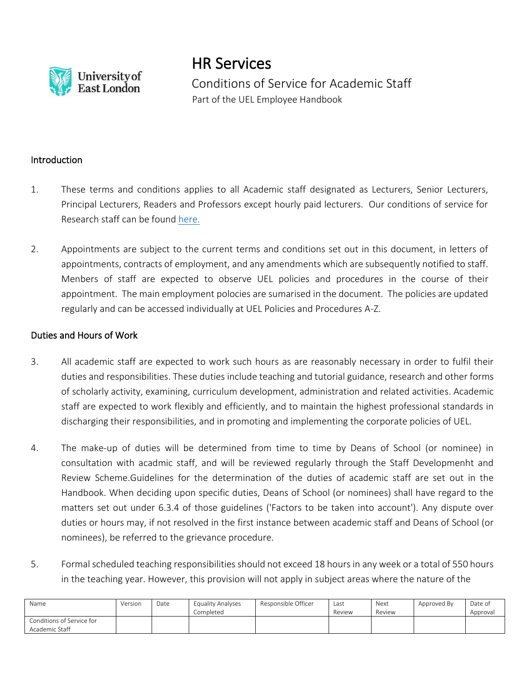

HR Services

Conditions of Service for Academic Staff Part of the UEL Employee Handbook

## Introduction

- 1. These terms and conditions applies to all Academic staff designated as Lecturers, Senior Lecturers, Principal Lecturers, Readers and Professors except hourly paid lecturers. Our conditions of service for Research staff can be found [here.](https://uelac.sharepoint.com/:b:/r/sites/hr/Shared%20Documents/Policies%202020/Research%20Staff%20Terms%20and%20Conditions%20of%20Service.pdf?csf=1&web=1&e=Kk6b0h)
- 2. Appointments are subject to the current terms and conditions set out in this document, in letters of appointments, contracts of employment, and any amendments which are subsequently notified to staff. Menbers of staff are expected to observe UEL policies and procedures in the course of their appointment. The main employment polocies are sumarised in the document. The policies are updated regularly and can be accessed individually at UEL Policies and Procedures A-Z.

### Duties and Hours of Work

- 3. All academic staff are expected to work such hours as are reasonably necessary in order to fulfil their duties and responsibilities. These duties include teaching and tutorial guidance, research and other forms of scholarly activity, examining, curriculum development, administration and related activities. Academic staff are expected to work flexibly and efficiently, and to maintain the highest professional standards in discharging their responsibilities, and in promoting and implementing the corporate policies of UEL.
- 4. The make-up of duties will be determined from time to time by Deans of School (or nominee) in consultation with acadmic staff, and will be reviewed regularly through the Staff Developmenht and Review Scheme.Guidelines for the determination of the duties of academic staff are set out in the Handbook. When deciding upon specific duties, Deans of School (or nominees) shall have regard to the matters set out under 6.3.4 of those guidelines ('Factors to be taken into account'). Any dispute over duties or hours may, if not resolved in the first instance between academic staff and Deans of School (or nominees), be referred to the grievance procedure.
- 5. Formal scheduled teaching responsibilities should not exceed 18 hours in any week or a total of 550 hours in the teaching year. However, this provision will not apply in subject areas where the nature of the

| Name                      | Version | Date | Equality Analyses | Responsible Officer | Last   | Next   | Approved By | Date of  |
|---------------------------|---------|------|-------------------|---------------------|--------|--------|-------------|----------|
|                           |         |      | Completed         |                     | Review | Review |             | Approval |
| Conditions of Service for |         |      |                   |                     |        |        |             |          |
| Academic Staff            |         |      |                   |                     |        |        |             |          |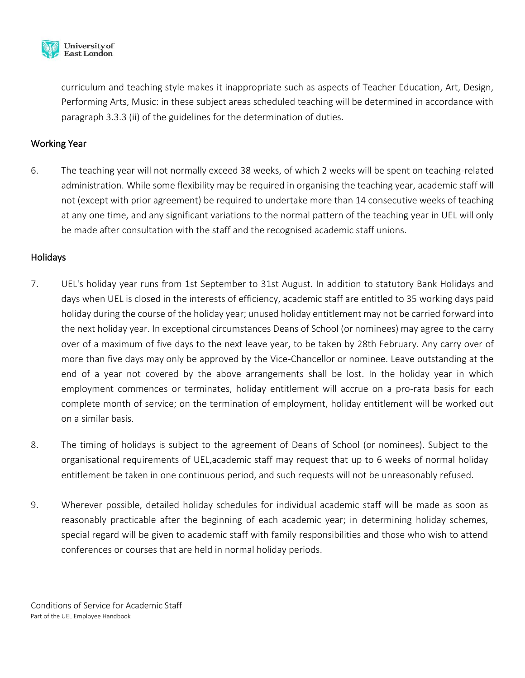

curriculum and teaching style makes it inappropriate such as aspects of Teacher Education, Art, Design, Performing Arts, Music: in these subject areas scheduled teaching will be determined in accordance with paragraph 3.3.3 (ii) of the guidelines for the determination of duties.

# Working Year

6. The teaching year will not normally exceed 38 weeks, of which 2 weeks will be spent on teaching-related administration. While some flexibility may be required in organising the teaching year, academic staff will not (except with prior agreement) be required to undertake more than 14 consecutive weeks of teaching at any one time, and any significant variations to the normal pattern of the teaching year in UEL will only be made after consultation with the staff and the recognised academic staff unions.

## Holidays

- 7. UEL's holiday year runs from 1st September to 31st August. In addition to statutory Bank Holidays and days when UEL is closed in the interests of efficiency, academic staff are entitled to 35 working days paid holiday during the course of the holiday year; unused holiday entitlement may not be carried forward into the next holiday year. In exceptional circumstances Deans of School (or nominees) may agree to the carry over of a maximum of five days to the next leave year, to be taken by 28th February. Any carry over of more than five days may only be approved by the Vice-Chancellor or nominee. Leave outstanding at the end of a year not covered by the above arrangements shall be lost. In the holiday year in which employment commences or terminates, holiday entitlement will accrue on a pro-rata basis for each complete month of service; on the termination of employment, holiday entitlement will be worked out on a similar basis.
- 8. The timing of holidays is subject to the agreement of Deans of School (or nominees). Subject to the organisational requirements of UEL,academic staff may request that up to 6 weeks of normal holiday entitlement be taken in one continuous period, and such requests will not be unreasonably refused.
- 9. Wherever possible, detailed holiday schedules for individual academic staff will be made as soon as reasonably practicable after the beginning of each academic year; in determining holiday schemes, special regard will be given to academic staff with family responsibilities and those who wish to attend conferences or courses that are held in normal holiday periods.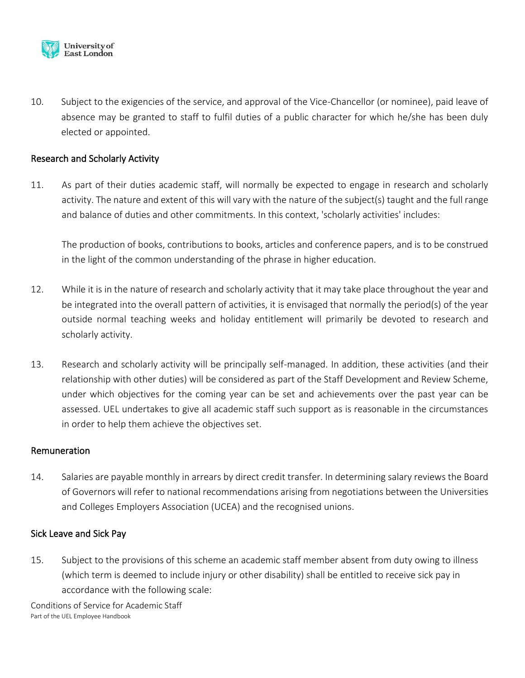

10. Subject to the exigencies of the service, and approval of the Vice-Chancellor (or nominee), paid leave of absence may be granted to staff to fulfil duties of a public character for which he/she has been duly elected or appointed.

## Research and Scholarly Activity

11. As part of their duties academic staff, will normally be expected to engage in research and scholarly activity. The nature and extent of this will vary with the nature of the subject(s) taught and the full range and balance of duties and other commitments. In this context, 'scholarly activities' includes:

The production of books, contributions to books, articles and conference papers, and is to be construed in the light of the common understanding of the phrase in higher education.

- 12. While it is in the nature of research and scholarly activity that it may take place throughout the year and be integrated into the overall pattern of activities, it is envisaged that normally the period(s) of the year outside normal teaching weeks and holiday entitlement will primarily be devoted to research and scholarly activity.
- 13. Research and scholarly activity will be principally self-managed. In addition, these activities (and their relationship with other duties) will be considered as part of the Staff Development and Review Scheme, under which objectives for the coming year can be set and achievements over the past year can be assessed. UEL undertakes to give all academic staff such support as is reasonable in the circumstances in order to help them achieve the objectives set.

#### Remuneration

14. Salaries are payable monthly in arrears by direct credit transfer. In determining salary reviews the Board of Governors will refer to national recommendations arising from negotiations between the Universities and Colleges Employers Association (UCEA) and the recognised unions.

#### Sick Leave and Sick Pay

15. Subject to the provisions of this scheme an academic staff member absent from duty owing to illness (which term is deemed to include injury or other disability) shall be entitled to receive sick pay in accordance with the following scale: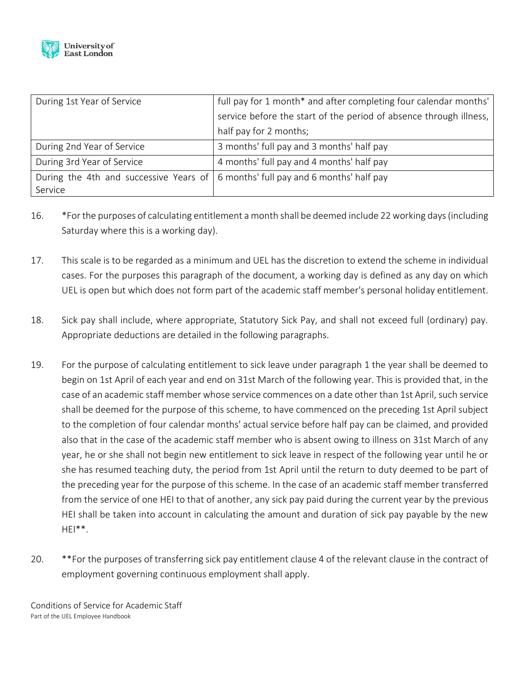

| During 1st Year of Service                                                         | full pay for 1 month* and after completing four calendar months'   |  |  |  |
|------------------------------------------------------------------------------------|--------------------------------------------------------------------|--|--|--|
|                                                                                    | service before the start of the period of absence through illness, |  |  |  |
|                                                                                    | half pay for 2 months;                                             |  |  |  |
| During 2nd Year of Service                                                         | 3 months' full pay and 3 months' half pay                          |  |  |  |
| During 3rd Year of Service                                                         | 4 months' full pay and 4 months' half pay                          |  |  |  |
| During the 4th and successive Years of   6 months' full pay and 6 months' half pay |                                                                    |  |  |  |
| Service                                                                            |                                                                    |  |  |  |

- 16. \*For the purposes of calculating entitlement a month shall be deemed include 22 working days (including Saturday where this is a working day).
- 17. This scale is to be regarded as a minimum and UEL has the discretion to extend the scheme in individual cases. For the purposes this paragraph of the document, a working day is defined as any day on which UEL is open but which does not form part of the academic staff member's personal holiday entitlement.
- 18. Sick pay shall include, where appropriate, Statutory Sick Pay, and shall not exceed full (ordinary) pay. Appropriate deductions are detailed in the following paragraphs.
- 19. For the purpose of calculating entitlement to sick leave under paragraph 1 the year shall be deemed to begin on 1st April of each year and end on 31st March of the following year. This is provided that, in the case of an academic staff member whose service commences on a date other than 1st April, such service shall be deemed for the purpose of this scheme, to have commenced on the preceding 1st April subject to the completion of four calendar months' actual service before half pay can be claimed, and provided also that in the case of the academic staff member who is absent owing to illness on 31st March of any year, he or she shall not begin new entitlement to sick leave in respect of the following year until he or she has resumed teaching duty, the period from 1st April until the return to duty deemed to be part of the preceding year for the purpose of this scheme. In the case of an academic staff member transferred from the service of one HEI to that of another, any sick pay paid during the current year by the previous HEI shall be taken into account in calculating the amount and duration of sick pay payable by the new  $HEI**$ .
- 20. \*\*For the purposes of transferring sick pay entitlement clause 4 of the relevant clause in the contract of employment governing continuous employment shall apply.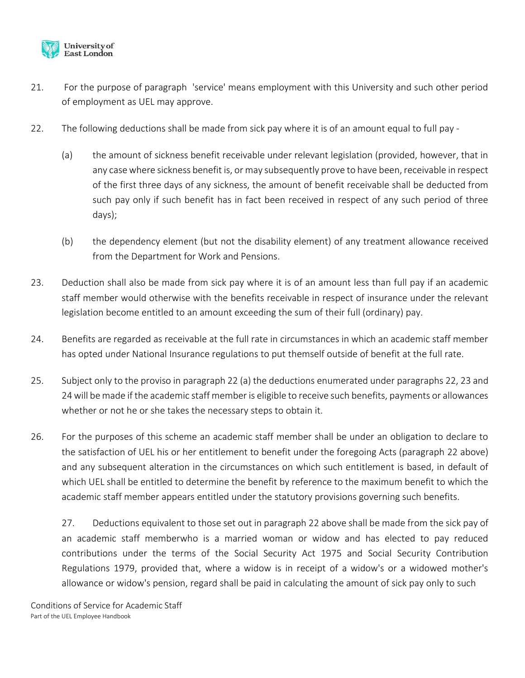

- 21. For the purpose of paragraph 'service' means employment with this University and such other period of employment as UEL may approve.
- 22. The following deductions shall be made from sick pay where it is of an amount equal to full pay
	- (a) the amount of sickness benefit receivable under relevant legislation (provided, however, that in any case where sickness benefit is, or may subsequently prove to have been, receivable in respect of the first three days of any sickness, the amount of benefit receivable shall be deducted from such pay only if such benefit has in fact been received in respect of any such period of three days);
	- (b) the dependency element (but not the disability element) of any treatment allowance received from the Department for Work and Pensions.
- 23. Deduction shall also be made from sick pay where it is of an amount less than full pay if an academic staff member would otherwise with the benefits receivable in respect of insurance under the relevant legislation become entitled to an amount exceeding the sum of their full (ordinary) pay.
- 24. Benefits are regarded as receivable at the full rate in circumstances in which an academic staff member has opted under National Insurance regulations to put themself outside of benefit at the full rate.
- 25. Subject only to the proviso in paragraph 22 (a) the deductions enumerated under paragraphs 22, 23 and 24 will be made if the academic staff member is eligible to receive such benefits, payments or allowances whether or not he or she takes the necessary steps to obtain it.
- 26. For the purposes of this scheme an academic staff member shall be under an obligation to declare to the satisfaction of UEL his or her entitlement to benefit under the foregoing Acts (paragraph 22 above) and any subsequent alteration in the circumstances on which such entitlement is based, in default of which UEL shall be entitled to determine the benefit by reference to the maximum benefit to which the academic staff member appears entitled under the statutory provisions governing such benefits.

27. Deductions equivalent to those set out in paragraph 22 above shall be made from the sick pay of an academic staff memberwho is a married woman or widow and has elected to pay reduced contributions under the terms of the Social Security Act 1975 and Social Security Contribution Regulations 1979, provided that, where a widow is in receipt of a widow's or a widowed mother's allowance or widow's pension, regard shall be paid in calculating the amount of sick pay only to such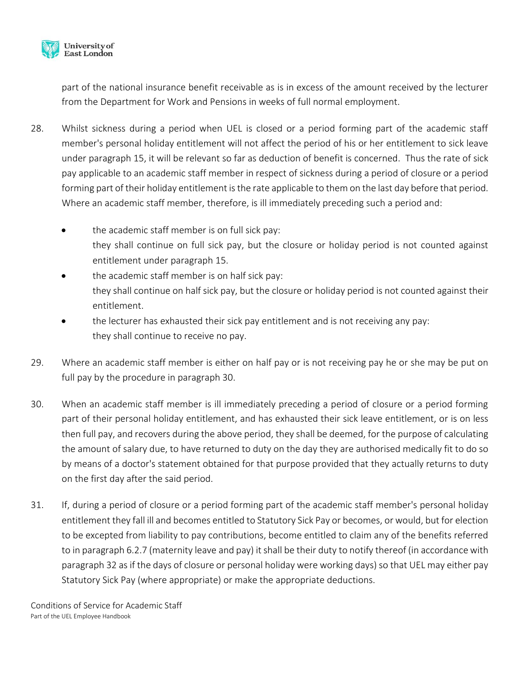

part of the national insurance benefit receivable as is in excess of the amount received by the lecturer from the Department for Work and Pensions in weeks of full normal employment.

- 28. Whilst sickness during a period when UEL is closed or a period forming part of the academic staff member's personal holiday entitlement will not affect the period of his or her entitlement to sick leave under paragraph 15, it will be relevant so far as deduction of benefit is concerned. Thus the rate of sick pay applicable to an academic staff member in respect of sickness during a period of closure or a period forming part of their holiday entitlement is the rate applicable to them on the last day before that period. Where an academic staff member, therefore, is ill immediately preceding such a period and:
	- the academic staff member is on full sick pay: they shall continue on full sick pay, but the closure or holiday period is not counted against entitlement under paragraph 15.
	- the academic staff member is on half sick pay: they shall continue on half sick pay, but the closure or holiday period is not counted against their entitlement.
	- the lecturer has exhausted their sick pay entitlement and is not receiving any pay: they shall continue to receive no pay.
- 29. Where an academic staff member is either on half pay or is not receiving pay he or she may be put on full pay by the procedure in paragraph 30.
- 30. When an academic staff member is ill immediately preceding a period of closure or a period forming part of their personal holiday entitlement, and has exhausted their sick leave entitlement, or is on less then full pay, and recovers during the above period, they shall be deemed, for the purpose of calculating the amount of salary due, to have returned to duty on the day they are authorised medically fit to do so by means of a doctor's statement obtained for that purpose provided that they actually returns to duty on the first day after the said period.
- 31. If, during a period of closure or a period forming part of the academic staff member's personal holiday entitlement they fall ill and becomes entitled to Statutory Sick Pay or becomes, or would, but for election to be excepted from liability to pay contributions, become entitled to claim any of the benefits referred to in paragraph 6.2.7 (maternity leave and pay) it shall be their duty to notify thereof (in accordance with paragraph 32 as if the days of closure or personal holiday were working days) so that UEL may either pay Statutory Sick Pay (where appropriate) or make the appropriate deductions.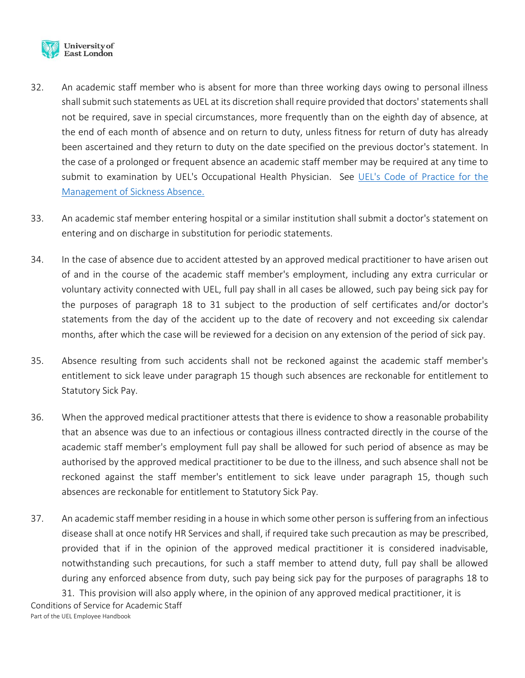

- 32. An academic staff member who is absent for more than three working days owing to personal illness shall submit such statements as UEL at its discretion shall require provided that doctors' statements shall not be required, save in special circumstances, more frequently than on the eighth day of absence, at the end of each month of absence and on return to duty, unless fitness for return of duty has already been ascertained and they return to duty on the date specified on the previous doctor's statement. In the case of a prolonged or frequent absence an academic staff member may be required at any time to submit to examination by UEL's Occupational Health Physician. See [UEL's Code of Practice for the](https://uelac.sharepoint.com/:b:/r/sites/hr/Shared%20Documents/Policies%202020/Code%20of%20Practice%20for%20the%20Management%20of%20Sickness%20Absence.pdf?csf=1&web=1&e=Vh0buM)  [Management of Sickness Absence.](https://uelac.sharepoint.com/:b:/r/sites/hr/Shared%20Documents/Policies%202020/Code%20of%20Practice%20for%20the%20Management%20of%20Sickness%20Absence.pdf?csf=1&web=1&e=Vh0buM)
- 33. An academic staf member entering hospital or a similar institution shall submit a doctor's statement on entering and on discharge in substitution for periodic statements.
- 34. In the case of absence due to accident attested by an approved medical practitioner to have arisen out of and in the course of the academic staff member's employment, including any extra curricular or voluntary activity connected with UEL, full pay shall in all cases be allowed, such pay being sick pay for the purposes of paragraph 18 to 31 subject to the production of self certificates and/or doctor's statements from the day of the accident up to the date of recovery and not exceeding six calendar months, after which the case will be reviewed for a decision on any extension of the period of sick pay.
- 35. Absence resulting from such accidents shall not be reckoned against the academic staff member's entitlement to sick leave under paragraph 15 though such absences are reckonable for entitlement to Statutory Sick Pay.
- 36. When the approved medical practitioner attests that there is evidence to show a reasonable probability that an absence was due to an infectious or contagious illness contracted directly in the course of the academic staff member's employment full pay shall be allowed for such period of absence as may be authorised by the approved medical practitioner to be due to the illness, and such absence shall not be reckoned against the staff member's entitlement to sick leave under paragraph 15, though such absences are reckonable for entitlement to Statutory Sick Pay.
- 37. An academic staff member residing in a house in which some other person is suffering from an infectious disease shall at once notify HR Services and shall, if required take such precaution as may be prescribed, provided that if in the opinion of the approved medical practitioner it is considered inadvisable, notwithstanding such precautions, for such a staff member to attend duty, full pay shall be allowed during any enforced absence from duty, such pay being sick pay for the purposes of paragraphs 18 to 31. This provision will also apply where, in the opinion of any approved medical practitioner, it is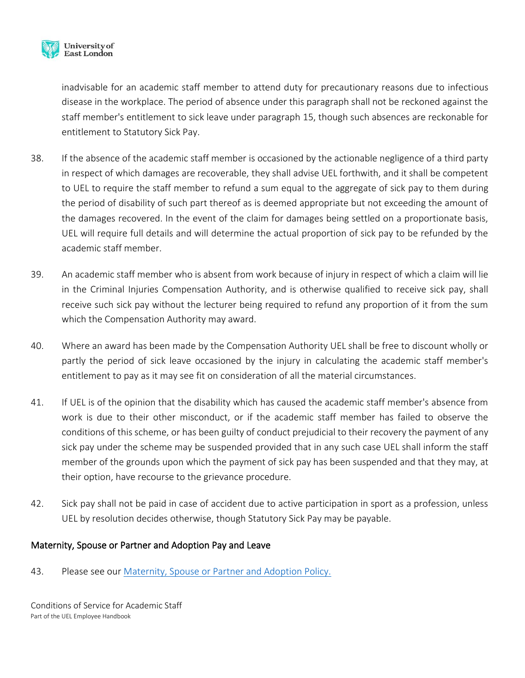

inadvisable for an academic staff member to attend duty for precautionary reasons due to infectious disease in the workplace. The period of absence under this paragraph shall not be reckoned against the staff member's entitlement to sick leave under paragraph 15, though such absences are reckonable for entitlement to Statutory Sick Pay.

- 38. If the absence of the academic staff member is occasioned by the actionable negligence of a third party in respect of which damages are recoverable, they shall advise UEL forthwith, and it shall be competent to UEL to require the staff member to refund a sum equal to the aggregate of sick pay to them during the period of disability of such part thereof as is deemed appropriate but not exceeding the amount of the damages recovered. In the event of the claim for damages being settled on a proportionate basis, UEL will require full details and will determine the actual proportion of sick pay to be refunded by the academic staff member.
- 39. An academic staff member who is absent from work because of injury in respect of which a claim will lie in the Criminal Injuries Compensation Authority, and is otherwise qualified to receive sick pay, shall receive such sick pay without the lecturer being required to refund any proportion of it from the sum which the Compensation Authority may award.
- 40. Where an award has been made by the Compensation Authority UEL shall be free to discount wholly or partly the period of sick leave occasioned by the injury in calculating the academic staff member's entitlement to pay as it may see fit on consideration of all the material circumstances.
- 41. If UEL is of the opinion that the disability which has caused the academic staff member's absence from work is due to their other misconduct, or if the academic staff member has failed to observe the conditions of this scheme, or has been guilty of conduct prejudicial to their recovery the payment of any sick pay under the scheme may be suspended provided that in any such case UEL shall inform the staff member of the grounds upon which the payment of sick pay has been suspended and that they may, at their option, have recourse to the grievance procedure.
- 42. Sick pay shall not be paid in case of accident due to active participation in sport as a profession, unless UEL by resolution decides otherwise, though Statutory Sick Pay may be payable.

# Maternity, Spouse or Partner and Adoption Pay and Leave

43. Please see our [Maternity, Spouse or Partner and Adoption Policy.](https://uelac.sharepoint.com/:b:/r/sites/hr/Shared%20Documents/Policies%202020/Maternity,%20Spouse%20or%20Partner%20and%20Adoption%20Leave%20Policy.pdf?csf=1&web=1&e=lAbBJO)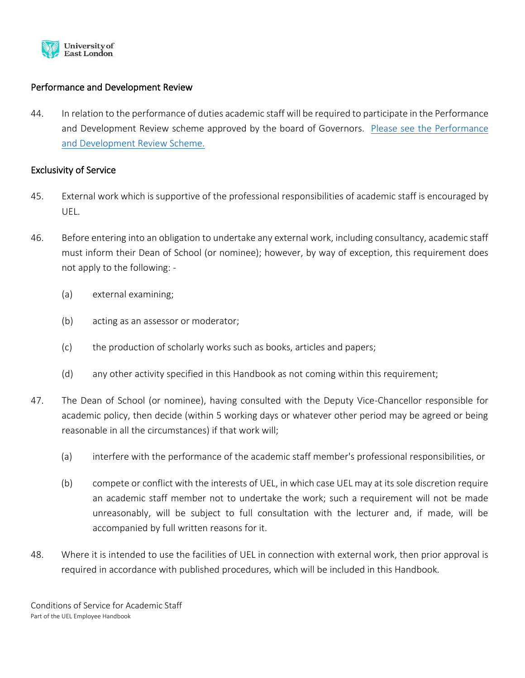

## Performance and Development Review

44. In relation to the performance of duties academic staff will be required to participate in the Performance and Development Review scheme approved by the board of Governors. [Please see the Performance](https://uelac.sharepoint.com/sites/hr/Shared%20Documents/Forms/AllItems.aspx?id=%2Fsites%2Fhr%2FShared%20Documents%2FPDR%2FDraft%20PDR%20Policy%20V4%2Epdf&parent=%2Fsites%2Fhr%2FShared%20Documents%2FPDR)  [and Development Review Scheme.](https://uelac.sharepoint.com/sites/hr/Shared%20Documents/Forms/AllItems.aspx?id=%2Fsites%2Fhr%2FShared%20Documents%2FPDR%2FDraft%20PDR%20Policy%20V4%2Epdf&parent=%2Fsites%2Fhr%2FShared%20Documents%2FPDR)

#### Exclusivity of Service

- 45. External work which is supportive of the professional responsibilities of academic staff is encouraged by UEL.
- 46. Before entering into an obligation to undertake any external work, including consultancy, academic staff must inform their Dean of School (or nominee); however, by way of exception, this requirement does not apply to the following: -
	- (a) external examining;
	- (b) acting as an assessor or moderator;
	- (c) the production of scholarly works such as books, articles and papers;
	- (d) any other activity specified in this Handbook as not coming within this requirement;
- 47. The Dean of School (or nominee), having consulted with the Deputy Vice-Chancellor responsible for academic policy, then decide (within 5 working days or whatever other period may be agreed or being reasonable in all the circumstances) if that work will;
	- (a) interfere with the performance of the academic staff member's professional responsibilities, or
	- (b) compete or conflict with the interests of UEL, in which case UEL may at its sole discretion require an academic staff member not to undertake the work; such a requirement will not be made unreasonably, will be subject to full consultation with the lecturer and, if made, will be accompanied by full written reasons for it.
- 48. Where it is intended to use the facilities of UEL in connection with external work, then prior approval is required in accordance with published procedures, which will be included in this Handbook.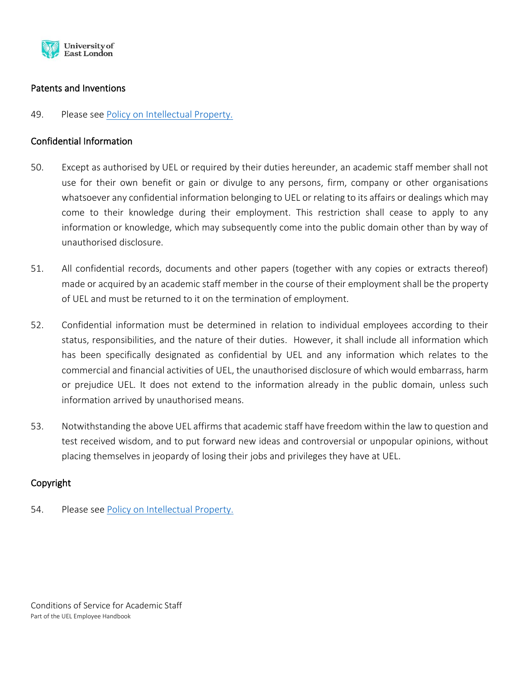

## Patents and Inventions

### 49. Please see [Policy on Intellectual Property.](https://uelac.sharepoint.com/sites/hr/Shared%20Documents/Forms/AllItems.aspx?id=%2Fsites%2Fhr%2FShared%20Documents%2FPDR%2FDraft%20PDR%20Policy%20V4%2Epdf&parent=%2Fsites%2Fhr%2FShared%20Documents%2FPDR)

### Confidential Information

- 50. Except as authorised by UEL or required by their duties hereunder, an academic staff member shall not use for their own benefit or gain or divulge to any persons, firm, company or other organisations whatsoever any confidential information belonging to UEL or relating to its affairs or dealings which may come to their knowledge during their employment. This restriction shall cease to apply to any information or knowledge, which may subsequently come into the public domain other than by way of unauthorised disclosure.
- 51. All confidential records, documents and other papers (together with any copies or extracts thereof) made or acquired by an academic staff member in the course of their employment shall be the property of UEL and must be returned to it on the termination of employment.
- 52. Confidential information must be determined in relation to individual employees according to their status, responsibilities, and the nature of their duties. However, it shall include all information which has been specifically designated as confidential by UEL and any information which relates to the commercial and financial activities of UEL, the unauthorised disclosure of which would embarrass, harm or prejudice UEL. It does not extend to the information already in the public domain, unless such information arrived by unauthorised means.
- 53. Notwithstanding the above UEL affirms that academic staff have freedom within the law to question and test received wisdom, and to put forward new ideas and controversial or unpopular opinions, without placing themselves in jeopardy of losing their jobs and privileges they have at UEL.

# Copyright

54. Please see [Policy on Intellectual Property.](https://uelac.sharepoint.com/sites/hr/Shared%20Documents/Forms/AllItems.aspx?id=%2Fsites%2Fhr%2FShared%20Documents%2FPDR%2FDraft%20PDR%20Policy%20V4%2Epdf&parent=%2Fsites%2Fhr%2FShared%20Documents%2FPDR)